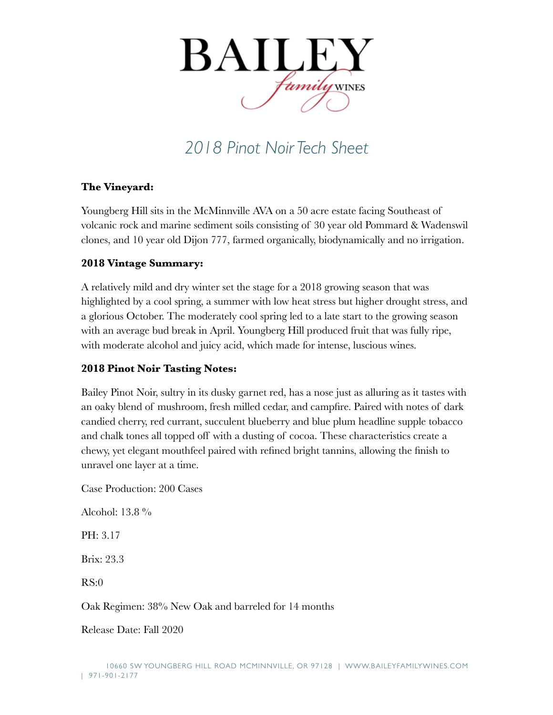

## *2018 Pinot Noir Tech Sheet*

## **The Vineyard:**

Youngberg Hill sits in the McMinnville AVA on a 50 acre estate facing Southeast of volcanic rock and marine sediment soils consisting of 30 year old Pommard & Wadenswil clones, and 10 year old Dijon 777, farmed organically, biodynamically and no irrigation.

## **2018 Vintage Summary:**

A relatively mild and dry winter set the stage for a 2018 growing season that was highlighted by a cool spring, a summer with low heat stress but higher drought stress, and a glorious October. The moderately cool spring led to a late start to the growing season with an average bud break in April. Youngberg Hill produced fruit that was fully ripe, with moderate alcohol and juicy acid, which made for intense, luscious wines.

## **2018 Pinot Noir Tasting Notes:**

Bailey Pinot Noir, sultry in its dusky garnet red, has a nose just as alluring as it tastes with an oaky blend of mushroom, fresh milled cedar, and campfire. Paired with notes of dark candied cherry, red currant, succulent blueberry and blue plum headline supple tobacco and chalk tones all topped off with a dusting of cocoa. These characteristics create a chewy, yet elegant mouthfeel paired with refined bright tannins, allowing the finish to unravel one layer at a time.

Case Production: 200 Cases

Alcohol: 13.8 %

PH: 3.17

Brix: 23.3

RS:0

Oak Regimen: 38% New Oak and barreled for 14 months

Release Date: Fall 2020